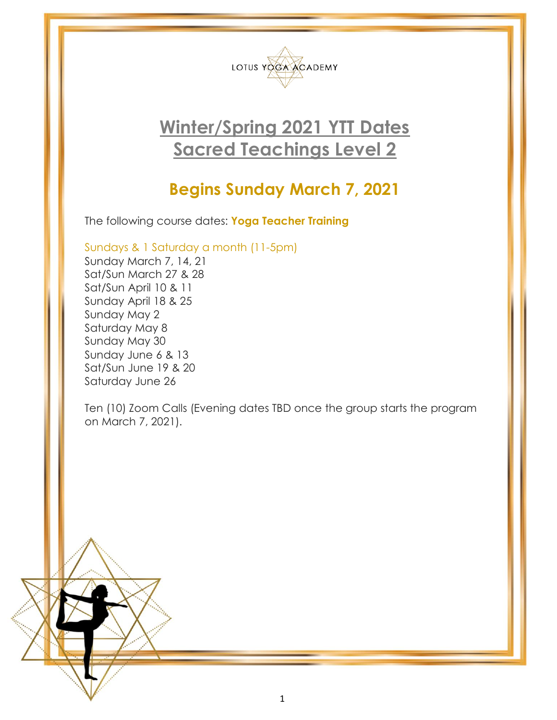

# **Winter/Spring 2021 YTT Dates Sacred Teachings Level 2**

# **Begins Sunday March 7, 2021**

The following course dates: **Yoga Teacher Training**

Sundays & 1 Saturday a month (11-5pm)

Sunday March 7, 14, 21 Sat/Sun March 27 & 28 Sat/Sun April 10 & 11 Sunday April 18 & 25 Sunday May 2 Saturday May 8 Sunday May 30 Sunday June 6 & 13 Sat/Sun June 19 & 20 Saturday June 26

Ten (10) Zoom Calls (Evening dates TBD once the group starts the program on March 7, 2021).